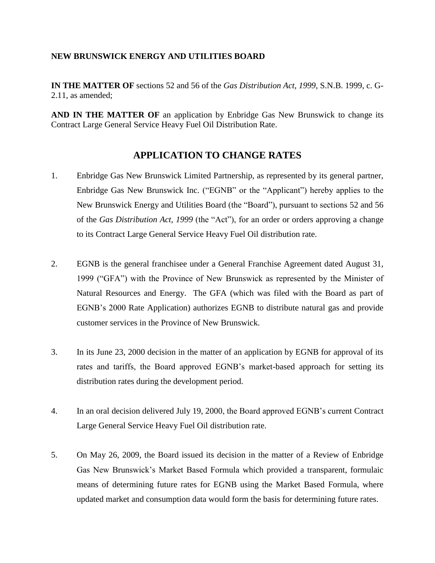## **NEW BRUNSWICK ENERGY AND UTILITIES BOARD**

**IN THE MATTER OF** sections 52 and 56 of the *Gas Distribution Act, 1999*, S.N.B. 1999, c. G-2.11, as amended;

**AND IN THE MATTER OF** an application by Enbridge Gas New Brunswick to change its Contract Large General Service Heavy Fuel Oil Distribution Rate.

## **APPLICATION TO CHANGE RATES**

- 1. Enbridge Gas New Brunswick Limited Partnership, as represented by its general partner, Enbridge Gas New Brunswick Inc. ("EGNB" or the "Applicant") hereby applies to the New Brunswick Energy and Utilities Board (the "Board"), pursuant to sections 52 and 56 of the *Gas Distribution Act, 1999* (the "Act"), for an order or orders approving a change to its Contract Large General Service Heavy Fuel Oil distribution rate.
- 2. EGNB is the general franchisee under a General Franchise Agreement dated August 31, 1999 ("GFA") with the Province of New Brunswick as represented by the Minister of Natural Resources and Energy. The GFA (which was filed with the Board as part of EGNB's 2000 Rate Application) authorizes EGNB to distribute natural gas and provide customer services in the Province of New Brunswick.
- 3. In its June 23, 2000 decision in the matter of an application by EGNB for approval of its rates and tariffs, the Board approved EGNB's market-based approach for setting its distribution rates during the development period.
- 4. In an oral decision delivered July 19, 2000, the Board approved EGNB's current Contract Large General Service Heavy Fuel Oil distribution rate.
- 5. On May 26, 2009, the Board issued its decision in the matter of a Review of Enbridge Gas New Brunswick's Market Based Formula which provided a transparent, formulaic means of determining future rates for EGNB using the Market Based Formula, where updated market and consumption data would form the basis for determining future rates.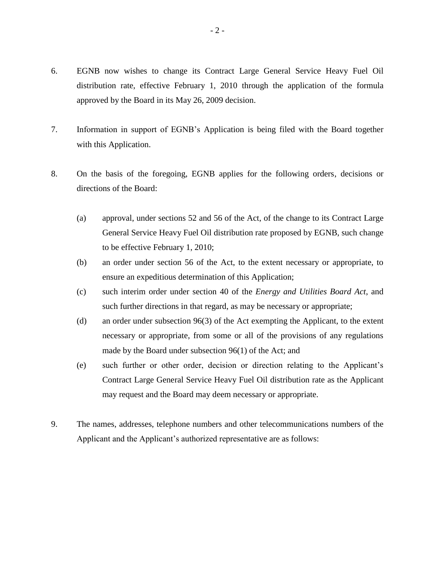- 6. EGNB now wishes to change its Contract Large General Service Heavy Fuel Oil distribution rate, effective February 1, 2010 through the application of the formula approved by the Board in its May 26, 2009 decision.
- 7. Information in support of EGNB's Application is being filed with the Board together with this Application.
- 8. On the basis of the foregoing, EGNB applies for the following orders, decisions or directions of the Board:
	- (a) approval, under sections 52 and 56 of the Act, of the change to its Contract Large General Service Heavy Fuel Oil distribution rate proposed by EGNB, such change to be effective February 1, 2010;
	- (b) an order under section 56 of the Act, to the extent necessary or appropriate, to ensure an expeditious determination of this Application;
	- (c) such interim order under section 40 of the *Energy and Utilities Board Act*, and such further directions in that regard, as may be necessary or appropriate;
	- (d) an order under subsection 96(3) of the Act exempting the Applicant, to the extent necessary or appropriate, from some or all of the provisions of any regulations made by the Board under subsection 96(1) of the Act; and
	- (e) such further or other order, decision or direction relating to the Applicant's Contract Large General Service Heavy Fuel Oil distribution rate as the Applicant may request and the Board may deem necessary or appropriate.
- 9. The names, addresses, telephone numbers and other telecommunications numbers of the Applicant and the Applicant's authorized representative are as follows: